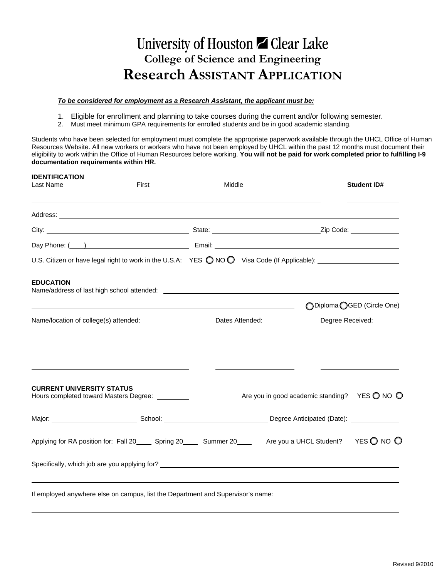# University of Houston Z Clear Lake **College of Science and Engineering Research ASSISTANT APPLICATION**

#### *To be considered for employment as a Research Assistant, the applicant must be:*

- 1. Eligible for enrollment and planning to take courses during the current and/or following semester.
- 2. Must meet minimum GPA requirements for enrolled students and be in good academic standing.

Students who have been selected for employment must complete the appropriate paperwork available through the UHCL Office of Human Resources Website. All new workers or workers who have not been employed by UHCL within the past 12 months must document their eligibility to work within the Office of Human Resources before working. **You will not be paid for work completed prior to fulfilling I-9 documentation requirements within HR.** 

| <b>IDENTIFICATION</b><br>Last Name                                                                                                                                                                                                                 | First                                                                                                                                                                                                                         | Middle          |                                                                 |                  | <b>Student ID#</b>           |  |
|----------------------------------------------------------------------------------------------------------------------------------------------------------------------------------------------------------------------------------------------------|-------------------------------------------------------------------------------------------------------------------------------------------------------------------------------------------------------------------------------|-----------------|-----------------------------------------------------------------|------------------|------------------------------|--|
|                                                                                                                                                                                                                                                    |                                                                                                                                                                                                                               |                 |                                                                 |                  |                              |  |
|                                                                                                                                                                                                                                                    |                                                                                                                                                                                                                               |                 |                                                                 |                  |                              |  |
|                                                                                                                                                                                                                                                    |                                                                                                                                                                                                                               |                 |                                                                 |                  |                              |  |
| U.S. Citizen or have legal right to work in the U.S.A: YES ONOO Visa Code (If Applicable): __________________                                                                                                                                      |                                                                                                                                                                                                                               |                 |                                                                 |                  |                              |  |
| <b>EDUCATION</b><br>Name/address of last high school attended: example and a series of the state of the state of the state of the state of the state of the state of the state of the state of the state of the state of the state of the state of |                                                                                                                                                                                                                               |                 |                                                                 |                  |                              |  |
|                                                                                                                                                                                                                                                    | the control of the control of the control of the control of the control of the control of the control of the control of the control of the control of the control of the control of the control of the control of the control |                 |                                                                 |                  | ◯ Diploma ◯ GED (Circle One) |  |
| Name/location of college(s) attended:                                                                                                                                                                                                              |                                                                                                                                                                                                                               | Dates Attended: |                                                                 | Degree Received: |                              |  |
|                                                                                                                                                                                                                                                    |                                                                                                                                                                                                                               |                 |                                                                 |                  |                              |  |
| <b>CURRENT UNIVERSITY STATUS</b><br>Hours completed toward Masters Degree: _________                                                                                                                                                               |                                                                                                                                                                                                                               |                 | Are you in good academic standing? YES $\bigcirc$ NO $\bigcirc$ |                  |                              |  |
|                                                                                                                                                                                                                                                    |                                                                                                                                                                                                                               |                 |                                                                 |                  |                              |  |
| Applying for RA position for: Fall 20 _____ Spring 20 _____ Summer 20 _____ Are you a UHCL Student? YES O NO O                                                                                                                                     |                                                                                                                                                                                                                               |                 |                                                                 |                  |                              |  |
|                                                                                                                                                                                                                                                    |                                                                                                                                                                                                                               |                 |                                                                 |                  |                              |  |
| If employed anywhere else on campus, list the Department and Supervisor's name:                                                                                                                                                                    |                                                                                                                                                                                                                               |                 |                                                                 |                  |                              |  |